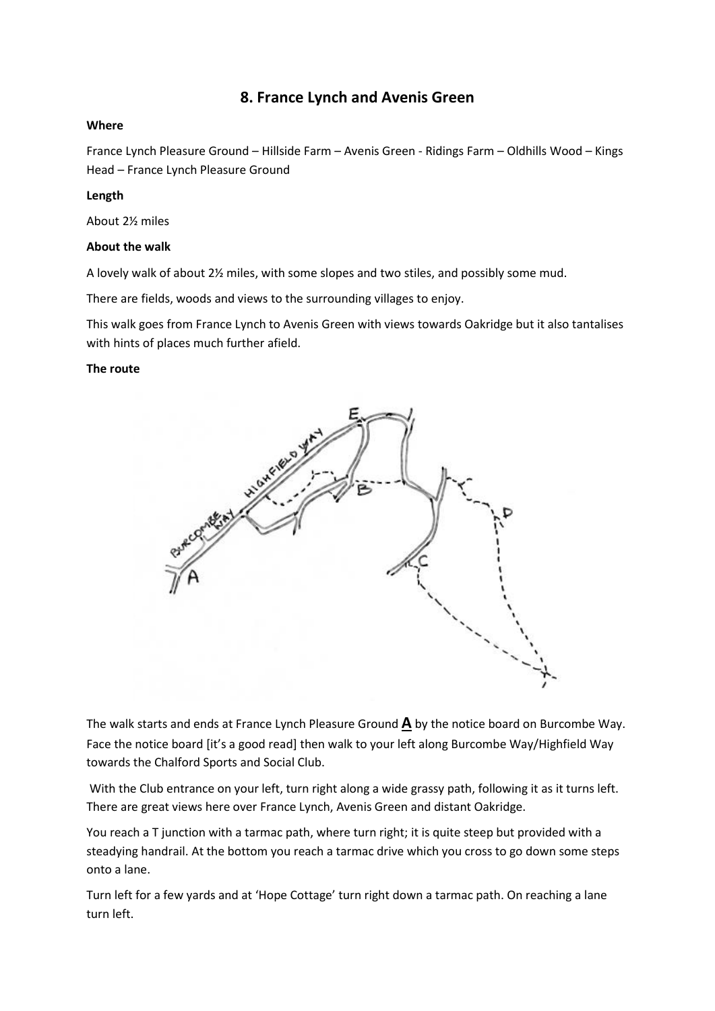# **8. France Lynch and Avenis Green**

### **Where**

France Lynch Pleasure Ground – Hillside Farm – Avenis Green - Ridings Farm – Oldhills Wood – Kings Head – France Lynch Pleasure Ground

### **Length**

About 2½ miles

### **About the walk**

A lovely walk of about 2½ miles, with some slopes and two stiles, and possibly some mud.

There are fields, woods and views to the surrounding villages to enjoy.

This walk goes from France Lynch to Avenis Green with views towards Oakridge but it also tantalises with hints of places much further afield.

### **The route**



The walk starts and ends at France Lynch Pleasure Ground **A** by the notice board on Burcombe Way. Face the notice board [it's a good read] then walk to your left along Burcombe Way/Highfield Way towards the Chalford Sports and Social Club.

With the Club entrance on your left, turn right along a wide grassy path, following it as it turns left. There are great views here over France Lynch, Avenis Green and distant Oakridge.

You reach a T junction with a tarmac path, where turn right; it is quite steep but provided with a steadying handrail. At the bottom you reach a tarmac drive which you cross to go down some steps onto a lane.

Turn left for a few yards and at 'Hope Cottage' turn right down a tarmac path. On reaching a lane turn left.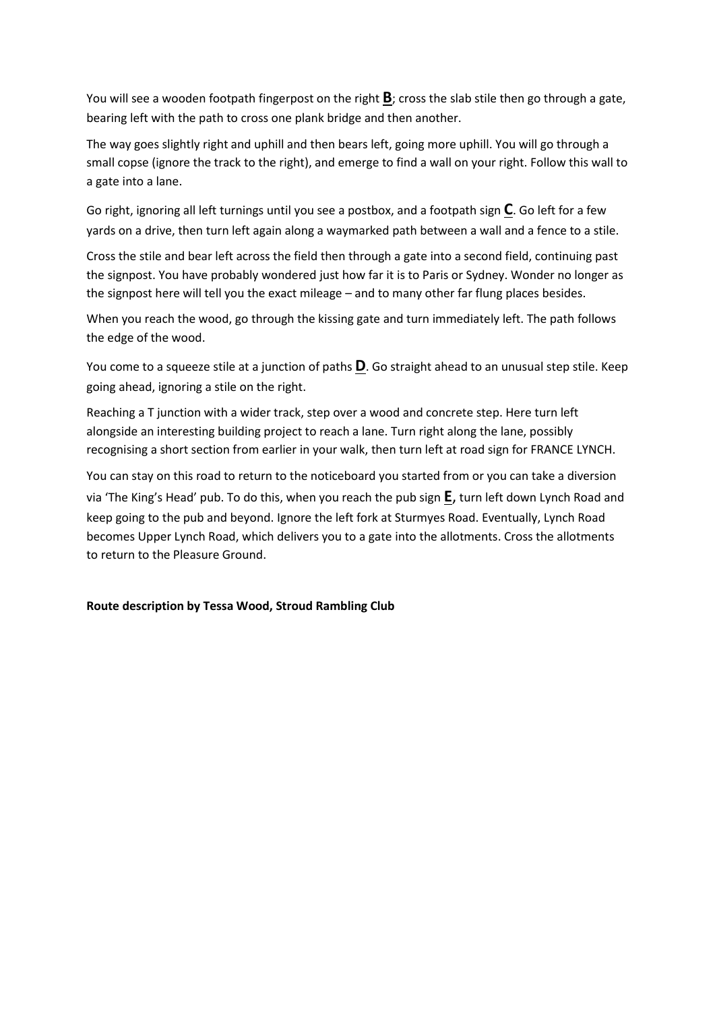You will see a wooden footpath fingerpost on the right **B**; cross the slab stile then go through a gate, bearing left with the path to cross one plank bridge and then another.

The way goes slightly right and uphill and then bears left, going more uphill. You will go through a small copse (ignore the track to the right), and emerge to find a wall on your right. Follow this wall to a gate into a lane.

Go right, ignoring all left turnings until you see a postbox, and a footpath sign **C**. Go left for a few yards on a drive, then turn left again along a waymarked path between a wall and a fence to a stile.

Cross the stile and bear left across the field then through a gate into a second field, continuing past the signpost. You have probably wondered just how far it is to Paris or Sydney. Wonder no longer as the signpost here will tell you the exact mileage – and to many other far flung places besides.

When you reach the wood, go through the kissing gate and turn immediately left. The path follows the edge of the wood.

You come to a squeeze stile at a junction of paths **D**. Go straight ahead to an unusual step stile. Keep going ahead, ignoring a stile on the right.

Reaching a T junction with a wider track, step over a wood and concrete step. Here turn left alongside an interesting building project to reach a lane. Turn right along the lane, possibly recognising a short section from earlier in your walk, then turn left at road sign for FRANCE LYNCH.

You can stay on this road to return to the noticeboard you started from or you can take a diversion via 'The King's Head' pub. To do this, when you reach the pub sign **E**, turn left down Lynch Road and keep going to the pub and beyond. Ignore the left fork at Sturmyes Road. Eventually, Lynch Road becomes Upper Lynch Road, which delivers you to a gate into the allotments. Cross the allotments to return to the Pleasure Ground.

## **Route description by Tessa Wood, Stroud Rambling Club**